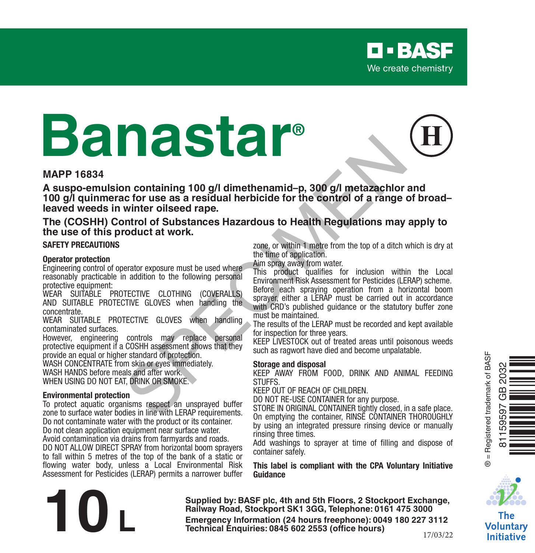# **Banastar®**

#### **MAPP 16834**

**A suspo-emulsion containing 100 g/l dimethenamid–p, 300 g/l metazachlor and 100 g/l quinmerac for use as a residual herbicide for the control of a range of broad– leaved weeds in winter oilseed rape.** In containing 100 g/l dimethenamid-p, 300 g/l metazachlor and<br>twinter oilseed rape.<br>the corruse are statual herbicide for the control of a range of b<br>a view of a range of b<br>control of Substances Hazardous to Health Regulat

#### **The (COSHH) Control of Substances Hazardous to Health Regulations may apply to the use of this product at work.**

#### **SAFETY PRECAUTIONS**

#### **Operator protection**

Engineering control of operator exposure must be used where reasonably practicable in addition to the following personal protective equipment:

WEAR SUITABLE PROTECTIVE CLOTHING (COVERALLS) AND SUITABLE PROTECTIVE GLOVES when handling the concentrate.

WEAR SUITABLE PROTECTIVE GLOVES when handling contaminated surfaces.

However, engineering controls may replace personal protective equipment if a COSHH assessment shows that they provide an equal or higher standard of protection.

WASH CONCENTRATE from skin or eyes immediately. WASH HANDS before meals and after work. WHEN USING DO NOT EAT, DRINK OR SMOKE.

#### **Environmental protection**

To protect aquatic organisms respect an unsprayed buffer zone to surface water bodies in line with LERAP requirements. Do not contaminate water with the product or its container. Do not clean application equipment near surface water. Avoid contamination via drains from farmyards and roads.

DO NOT ALLOW DIRECT SPRAY from horizontal boom sprayers to fall within 5 metres of the top of the bank of a static or flowing water body, unless a Local Environmental Risk Assessment for Pesticides (LERAP) permits a narrower buffer

zone, or within 1 metre from the top of a ditch which is dry at the time of application.

Aim spray away from water.

This product qualifies for inclusion within the Local Environment Risk Assessment for Pesticides (LERAP) scheme. Before each spraying operation from a horizontal boom sprayer, either a LERAP must be carried out in accordance with CRD's published quidance or the statutory buffer zone must be maintained.

The results of the LERAP must be recorded and kept available for inspection for three years.

KEEP LIVESTOCK out of treated areas until poisonous weeds such as ragwort have died and become unpalatable.

#### **Storage and disposal**

KEEP AWAY FROM FOOD, DRINK AND ANIMAL FEEDING **STUFFS** 

KEEP OUT OF REACH OF CHILDREN.

DO NOT RE-USE CONTAINER for any purpose.

STORE IN ORIGINAL CONTAINER tightly closed, in a safe place. On emptying the container, RINSE CONTAINER THOROUGHLY by using an integrated pressure rinsing device or manually rinsing three times.

Add washings to sprayer at time of filling and dispose of container safely.

**This label is compliant with the CPA Voluntary Initiative Guidance**



Ò<br>È

® = Registered trademark of BASF

3 = Registered trademark of BASF 595 놂

81159597 GB 2032

The Voluntarv **Initiative** 

**Supplied by: BASF plc, 4th and 5th Floors, 2 Stockport Exchange, Railway Road, Stockport SK1 3GG, Telephone: 0161 475 3000 Emergency Information (24 hours freephone: 0161 475 3000<br>
<b>Emergency Information (24 hours freephone: 0161 475 3000**<br> **Emergency Information (24 hours freephone: 0049 180 227 3112<br>
Technical Enquiries: 0845 602 2553 (offi** 

17/03/22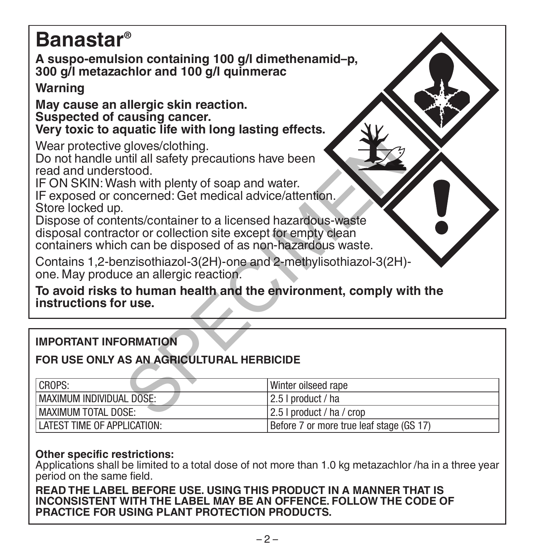| <b>Banastar</b> <sup>®</sup><br>A suspo-emulsion containing 100 g/l dimethenamid-p,<br>300 g/l metazachlor and 100 g/l quinmerac                                                                                                                                                                                                                                                                                                                 |                           |  |  |  |
|--------------------------------------------------------------------------------------------------------------------------------------------------------------------------------------------------------------------------------------------------------------------------------------------------------------------------------------------------------------------------------------------------------------------------------------------------|---------------------------|--|--|--|
| Warning                                                                                                                                                                                                                                                                                                                                                                                                                                          |                           |  |  |  |
| May cause an allergic skin reaction.<br>Suspected of causing cancer.<br>Very toxic to aquatic life with long lasting effects.                                                                                                                                                                                                                                                                                                                    |                           |  |  |  |
| Wear protective gloves/clothing.<br>Do not handle until all safety precautions have been<br>read and understood.<br>IF ON SKIN: Wash with plenty of soap and water.<br>IF exposed or concerned: Get medical advice/attention.<br>Store locked up.<br>Dispose of contents/container to a licensed hazardous-waste<br>disposal contractor or collection site except for empty clean<br>containers which can be disposed of as non-hazardous waste. |                           |  |  |  |
| Contains 1,2-benzisothiazol-3(2H)-one and 2-methylisothiazol-3(2H)-<br>one. May produce an allergic reaction.                                                                                                                                                                                                                                                                                                                                    |                           |  |  |  |
| To avoid risks to human health and the environment, comply with the<br>instructions for use.                                                                                                                                                                                                                                                                                                                                                     |                           |  |  |  |
|                                                                                                                                                                                                                                                                                                                                                                                                                                                  |                           |  |  |  |
| <b>IMPORTANT INFORMATION</b>                                                                                                                                                                                                                                                                                                                                                                                                                     |                           |  |  |  |
| FOR USE ONLY AS AN AGRICULTURAL HERBICIDE                                                                                                                                                                                                                                                                                                                                                                                                        |                           |  |  |  |
| CROPS:                                                                                                                                                                                                                                                                                                                                                                                                                                           | Winter oilseed rape       |  |  |  |
| <b>MAXIMUM INDIVIDUAL DOSE:</b>                                                                                                                                                                                                                                                                                                                                                                                                                  | 2.5   product / ha        |  |  |  |
| <b>MAXIMUM TOTAL DOSE:</b>                                                                                                                                                                                                                                                                                                                                                                                                                       | 2.5   product / ha / crop |  |  |  |

| <b>IMPORTANT INFORMATION</b>              |                                          |  |  |  |
|-------------------------------------------|------------------------------------------|--|--|--|
| FOR USE ONLY AS AN AGRICULTURAL HERBICIDE |                                          |  |  |  |
| CROPS:                                    | Winter oilseed rape                      |  |  |  |
| MAXIMUM INDIVIDUAL DOSE:                  | 2.5   product / ha                       |  |  |  |
| <b>MAXIMUM TOTAL DOSE:</b>                | 2.5   product / ha / crop                |  |  |  |
| LATEST TIME OF APPLICATION:               | Before 7 or more true leaf stage (GS 17) |  |  |  |

### **Other specific restrictions:**

Applications shall be limited to a total dose of not more than 1.0 kg metazachlor /ha in a three year period on the same field.

#### **READ THE LABEL BEFORE USE. USING THIS PRODUCT IN A MANNER THAT IS INCONSISTENT WITH THE LABEL MAY BE AN OFFENCE. FOLLOW THE CODE OF PRACTICE FOR USING PLANT PROTECTION PRODUCTS.**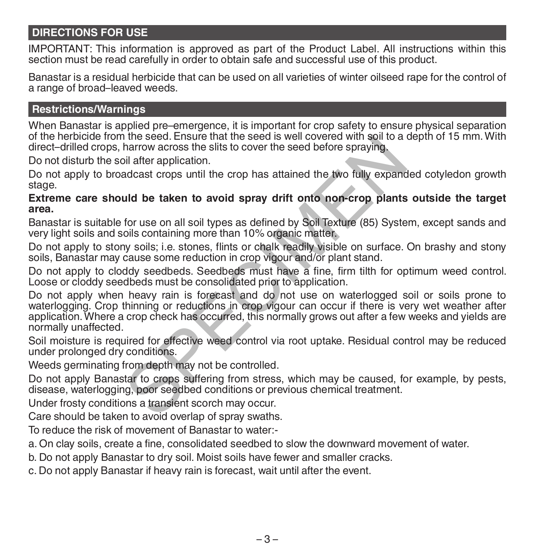# **DIRECTIONS FOR USE**

IMPORTANT: This information is approved as part of the Product Label. All instructions within this section must be read carefully in order to obtain safe and successful use of this product.

Banastar is a residual herbicide that can be used on all varieties of winter oilseed rape for the control of a range of broad–leaved weeds.

#### **Restrictions/Warnings**

When Banastar is applied pre–emergence, it is important for crop safety to ensure physical separation of the herbicide from the seed. Ensure that the seed is well covered with soil to a depth of 15 mm. With direct–drilled crops, harrow across the slits to cover the seed before spraying.

Do not disturb the soil after application.

Do not apply to broadcast crops until the crop has attained the two fully expanded cotyledon growth stage.

#### **Extreme care should be taken to avoid spray drift onto non-crop plants outside the target area.**

Banastar is suitable for use on all soil types as defined by Soil Texture (85) System, except sands and very light soils and soils containing more than 10% organic matter.

Do not apply to stony soils; i.e. stones, flints or chalk readily visible on surface. On brashy and stony soils, Banastar may cause some reduction in crop vigour and/or plant stand.

Do not apply to cloddy seedbeds. Seedbeds must have a fine, firm tilth for optimum weed control. Loose or cloddy seedbeds must be consolidated prior to application.

Do not apply when heavy rain is forecast and do not use on waterlogged soil or soils prone to waterlogging. Crop thinning or reductions in crop vigour can occur if there is very wet weather after application. Where a crop check has occurred, this normally grows out after a few weeks and yields are normally unaffected. The seed. Ensure that the seed is well covered with soli to a<br>harrow across the slits to cover the seed before spraying.<br>bill after application.<br>adcast crops until the crop has attained the two fully expant<br>for use on all

Soil moisture is required for effective weed control via root uptake. Residual control may be reduced under prolonged dry conditions.

Weeds germinating from depth may not be controlled.

Do not apply Banastar to crops suffering from stress, which may be caused, for example, by pests, disease, waterlogging, poor seedbed conditions or previous chemical treatment.

Under frosty conditions a transient scorch may occur.

Care should be taken to avoid overlap of spray swaths.

To reduce the risk of movement of Banastar to water:-

a. On clay soils, create a fine, consolidated seedbed to slow the downward movement of water.

b. Do not apply Banastar to dry soil. Moist soils have fewer and smaller cracks.

c. Do not apply Banastar if heavy rain is forecast, wait until after the event.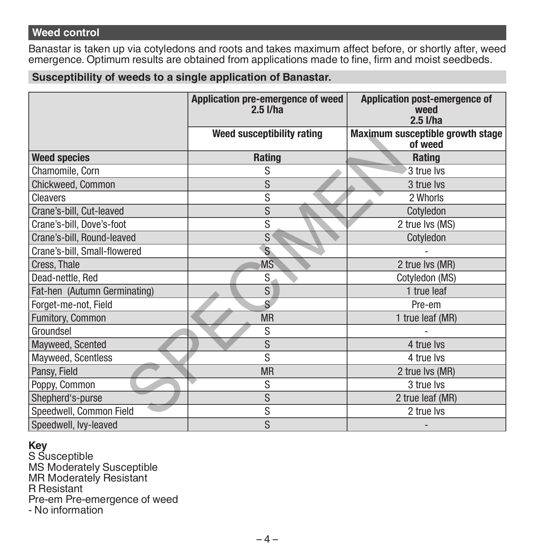# **Weed control**

Banastar is taken up via cotyledons and roots and takes maximum affect before, or shortly after, weed emergence. Optimum results are obtained from applications made to fine, firm and moist seedbeds.

**Susceptibility of weeds to a single application of Banastar.**

|                              | Application pre-emergence of weed<br>$2.5$ $I/ha$ | Application post-emergence of<br>weed<br>$2.5$ I/ha |  |
|------------------------------|---------------------------------------------------|-----------------------------------------------------|--|
|                              | Weed susceptibility rating                        | Maximum susceptible growth stage<br>of weed         |  |
| <b>Weed species</b>          | Rating                                            | Rating                                              |  |
| Chamomile, Corn              | S                                                 | 3 true lvs                                          |  |
| Chickweed, Common            | S                                                 | 3 true lvs                                          |  |
| Cleavers                     | S                                                 | 2 Whorls                                            |  |
| Crane's-bill, Cut-leaved     | S                                                 | Cotyledon                                           |  |
| Crane's-bill, Dove's-foot    | S                                                 | 2 true lvs (MS)                                     |  |
| Crane's-bill, Round-leaved   | S                                                 | Cotyledon                                           |  |
| Crane's-bill, Small-flowered | S                                                 |                                                     |  |
| Cress, Thale                 | <b>MS</b>                                         | 2 true lvs (MR)                                     |  |
| Dead-nettle, Red             | S.                                                | Cotyledon (MS)                                      |  |
| Fat-hen (Autumn Germinating) | S                                                 | 1 true leaf                                         |  |
| Forget-me-not, Field         | S                                                 | Pre-em                                              |  |
| Fumitory, Common             | <b>MR</b>                                         | 1 true leaf (MR)                                    |  |
| Groundsel                    | S                                                 |                                                     |  |
| Mayweed, Scented             | S                                                 | 4 true lvs                                          |  |
| Mayweed, Scentless           | S                                                 | 4 true lvs                                          |  |
| Pansy, Field                 | <b>MR</b>                                         | 2 true lvs (MR)                                     |  |
| Poppy, Common                | S                                                 | 3 true lvs                                          |  |
| Shepherd's-purse             | S                                                 | 2 true leaf (MR)                                    |  |
| Speedwell, Common Field      | S                                                 | 2 true lvs                                          |  |
| Speedwell, lvy-leaved        | S                                                 |                                                     |  |

# **Key**

S Susceptible MS Moderately Susceptible MR Moderately Resistant R Resistant Pre-em Pre-emergence of weed - No information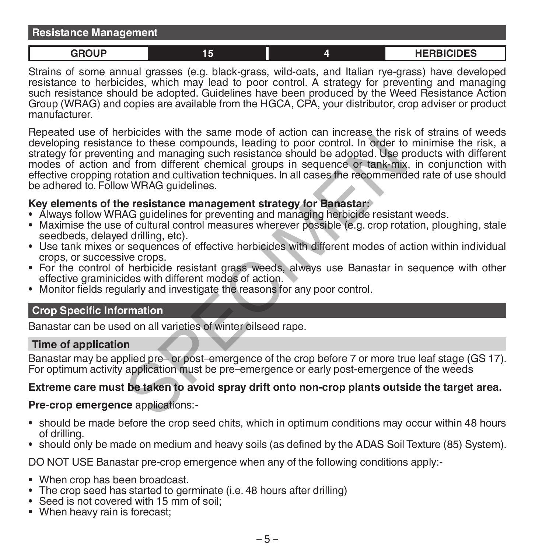| <b>Resistance Management</b> |    |                   |
|------------------------------|----|-------------------|
| <b>GROUD</b>                 | 15 | <b>HERBICIDES</b> |

Strains of some annual grasses (e.g. black-grass, wild-oats, and Italian rye-grass) have developed resistance to herbicides, which may lead to poor control. A strategy for preventing and managing such resistance should be adopted. Guidelines have been produced by the Weed Resistance Action Group (WRAG) and copies are available from the HGCA, CPA, your distributor, crop adviser or product manufacturer.

Repeated use of herbicides with the same mode of action can increase the risk of strains of weeds developing resistance to these compounds, leading to poor control. In order to minimise the risk, a strategy for preventing and managing such resistance should be adopted. Use products with different modes of action and from different chemical groups in sequence or tank-mix, in conjunction with effective cropping rotation and cultivation techniques. In all cases the recommended rate of use should be adhered to. Follow WRAG quidelines. Exerces with the case of the compounds, leading to poor control. In order to<br>the to these compounds, leading to poor control. In order to<br>mg and managing such resistance should be adopted. Use p<br>d from different chemical g

# **Key elements of the resistance management strategy for Banastar:**

- 
- Maximise the use of cultural control measures wherever possible (e.g. crop rotation, ploughing, stale seedbeds. delayed drilling, etc).
- Use tank mixes or sequences of effective herbicides with different modes of action within individual crops, or successive crops.
- For the control of herbicide resistant grass weeds, always use Banastar in sequence with other effective graminicides with different modes of action.
- Monitor fields regularly and investigate the reasons for any poor control.

### **Crop Specific Information**

Banastar can be used on all varieties of winter oilseed rape.

#### **Time of application**

Banastar may be applied pre– or post–emergence of the crop before 7 or more true leaf stage (GS 17). For optimum activity application must be pre–emergence or early post-emergence of the weeds

### **Extreme care must be taken to avoid spray drift onto non-crop plants outside the target area.**

#### **Pre-crop emergence** applications:-

- should be made before the crop seed chits, which in optimum conditions may occur within 48 hours of drilling.
- should only be made on medium and heavy soils (as defined by the ADAS Soil Texture (85) System).

DO NOT USE Banastar pre-crop emergence when any of the following conditions apply:-

- When crop has been broadcast.
- The crop seed has started to germinate (i.e. 48 hours after drilling)
- Seed is not covered with 15 mm of soil:
- When heavy rain is forecast;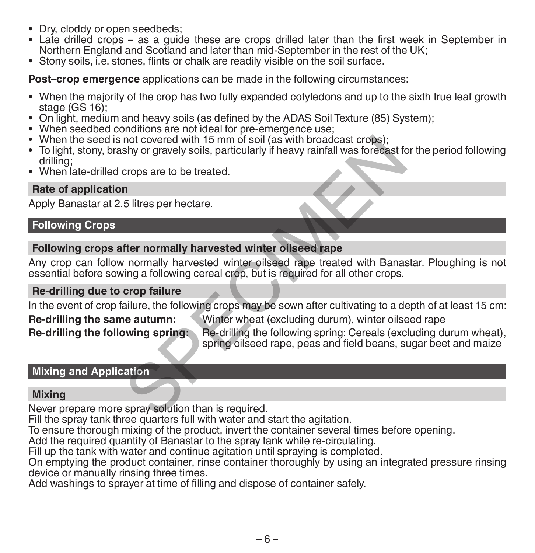- Dry, cloddy or open seedbeds;
- Late drilled crops as a guide these are crops drilled later than the first week in September in Northern England and Scotland and later than mid-September in the rest of the UK;
- Stony soils, i.e. stones, flints or chalk are readily visible on the soil surface.

**Post–crop emergence** applications can be made in the following circumstances:

- When the majority of the crop has two fully expanded cotyledons and up to the sixth true leaf growth
- 
- 
- 
- On light, medium and heavy soils (as defined by the ADAS Soil Texture (85) System);<br>• When seedbed conditions are not ideal for pre-emergence use;<br>• When seedbed conditions are not ideal for pre-emergence use;<br>• To light
- When late-drilled crops are to be treated.

### **Rate of application**

Apply Banastar at 2.5 litres per hectare.

### **Following Crops**

### **Following crops after normally harvested winter oilseed rape**

Any crop can follow normally harvested winter oilseed rape treated with Banastar. Ploughing is not essential before sowing a following cereal crop, but is required for all other crops. not covered with 15 mm of soil (as with broadcast crops);<br>shy or gravely soils, particularly if heavy rainfall was forecast for<br>props are to be treated.<br><br>n<br>5 litres per hectare.<br><br>in the normally harvested winter oilseed ra

#### **Re-drilling due to crop failure**

In the event of crop failure, the following crops may be sown after cultivating to a depth of at least 15 cm:

**Re-drilling the same autumn:** Winter wheat (excluding durum), winter oilseed rape

**Re-drilling the following spring:** Re-drilling the following spring: Cereals (excluding durum wheat), spring oilseed rape, peas and field beans, sugar beet and maize

# **Mixing and Application**

### **Mixing**

Never prepare more spray solution than is required.

Fill the spray tank three quarters full with water and start the agitation.

To ensure thorough mixing of the product, invert the container several times before opening.

Add the required quantity of Banastar to the spray tank while re-circulating.

Fill up the tank with water and continue agitation until spraying is completed.

On emptying the product container, rinse container thoroughly by using an integrated pressure rinsing device or manually rinsing three times.

Add washings to sprayer at time of filling and dispose of container safely.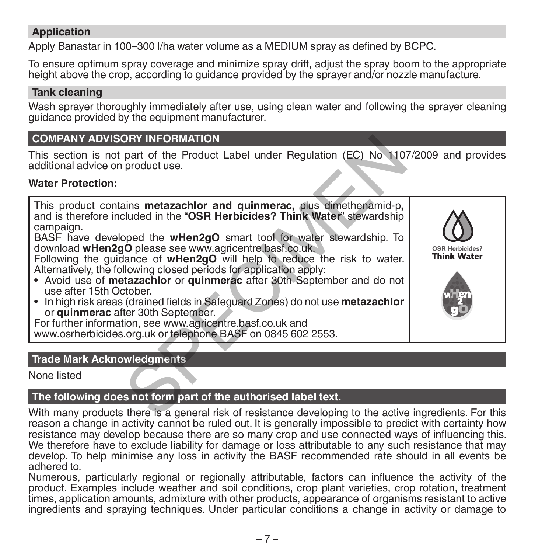# **Application**

Apply Banastar in 100–300 l/ha water volume as a MEDIUM spray as defined by BCPC.

To ensure optimum spray coverage and minimize spray drift, adjust the spray boom to the appropriate height above the crop, according to guidance provided by the sprayer and/or nozzle manufacture.

#### **Tank cleaning**

Wash sprayer thoroughly immediately after use, using clean water and following the sprayer cleaning guidance provided by the equipment manufacturer.

# **COMPANY ADVISORY INFORMATION**

This section is not part of the Product Label under Regulation (EC) No 1107/2009 and provides additional advice on product use.

#### **Water Protection:**

This product contains **metazachlor and quinmerac,** plus dimethenamid-p**,** and is therefore included in the "**OSR Herbicides? Think Water**" stewardship campaign. DRY INFORMATION<br>part of the Product Label under Regulation (EC) No 110<br>product use.<br>alims metazachlor and quimmerac, plus dimethenamid-p,<br>cluded in the "OSR Herbicides? Think Water" stewardship<br>pped the wHen2gO smart tool

BASF have developed the **wHen2gO** smart tool for water stewardship. To download **wHen2gO** please see www.agricentre.basf.co.uk.

Following the guidance of **wHen2gO** will help to reduce the risk to water. Alternatively, the following closed periods for application apply:

- Avoid use of **metazachlor** or **quinmerac** after 30th September and do not use after 15th October.
- In high risk areas (drained fields in Safeguard Zones) do not use **metazachlor** or **quinmerac** after 30th September.

For further information, see www.agricentre.basf.co.uk and

www.osrherbicides.org.uk or telephone BASF on 0845 602 2553.

# **Trade Mark Acknowledgments**

None listed

### **The following does not form part of the authorised label text.**

With many products there is a general risk of resistance developing to the active ingredients. For this reason a change in activity cannot be ruled out. It is generally impossible to predict with certainty how resistance may develop because there are so many crop and use connected ways of influencing this. We therefore have to exclude liability for damage or loss attributable to any such resistance that may develop. To help minimise any loss in activity the BASF recommended rate should in all events be adhered to.

Numerous, particularly regional or regionally attributable, factors can influence the activity of the product. Examples include weather and soil conditions, crop plant varieties, crop rotation, treatment times, application amounts, admixture with other products, appearance of organisms resistant to active ingredients and spraying techniques. Under particular conditions a change in activity or damage to

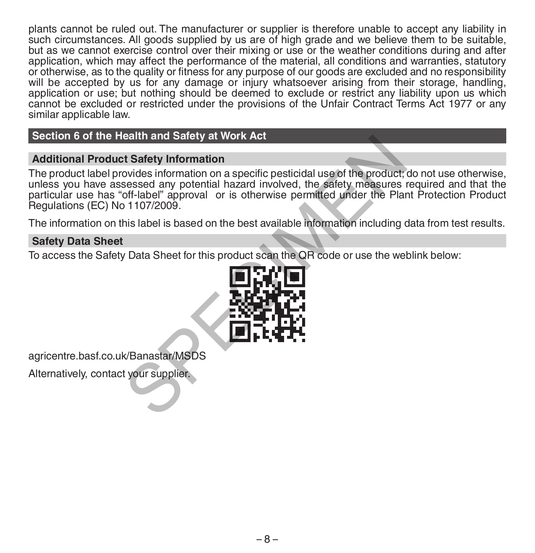plants cannot be ruled out. The manufacturer or supplier is therefore unable to accept any liability in such circumstances. All goods supplied by us are of high grade and we believe them to be suitable, but as we cannot exercise control over their mixing or use or the weather conditions during and after application, which may affect the performance of the material, all conditions and warranties, statutory or otherwise, as to the quality or fitness for any purpose of our goods are excluded and no responsibility will be accepted by us for any damage or injury whatsoever arising from their storage, handling, application or use; but nothing should be deemed to exclude or restrict any liability upon us which cannot be excluded or restricted under the provisions of the Unfair Contract Terms Act 1977 or any similar applicable law.

### **Section 6 of the Health and Safety at Work Act**

#### **Additional Product Safety Information**

The product label provides information on a specific pesticidal use of the product; do not use otherwise, unless you have assessed any potential hazard involved, the safety measures required and that the particular use has "off-label" approval or is otherwise permitted under the Plant Protection Product Regulations (EC) No 1107/2009. early and Safety at Work Act<br>
at Safety Information<br>
covides information on a specific pesticidal use of the product;<br>
sessed any potential hazard involved, the safety measures<br>
of Habel is based on the best available info

The information on this label is based on the best available information including data from test results.

#### **Safety Data Sheet**

To access the Safety Data Sheet for this product scan the QR code or use the weblink below:



agricentre.basf.co.uk/Banastar/MSDS

Alternatively, contact your supplier.